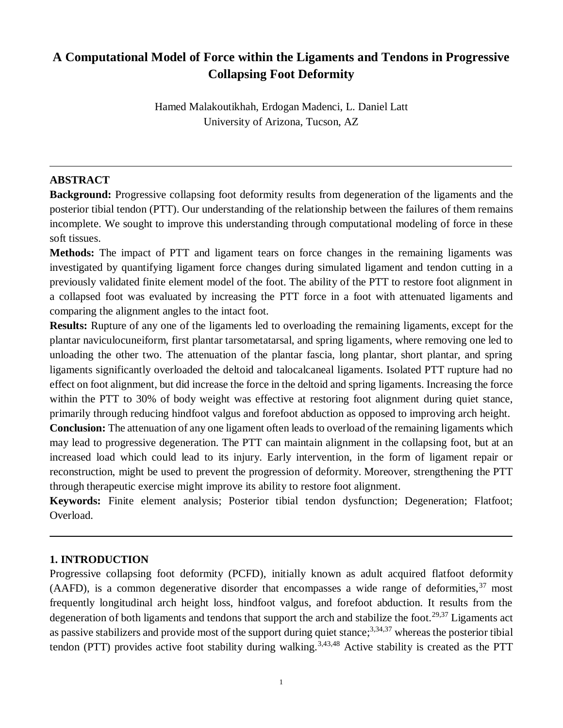# **A Computational Model of Force within the Ligaments and Tendons in Progressive Collapsing Foot Deformity**

Hamed Malakoutikhah, Erdogan Madenci, L. Daniel Latt University of Arizona, Tucson, AZ

## **ABSTRACT**

**Background:** Progressive collapsing foot deformity results from degeneration of the ligaments and the posterior tibial tendon (PTT). Our understanding of the relationship between the failures of them remains incomplete. We sought to improve this understanding through computational modeling of force in these soft tissues.

**Methods:** The impact of PTT and ligament tears on force changes in the remaining ligaments was investigated by quantifying ligament force changes during simulated ligament and tendon cutting in a previously validated finite element model of the foot. The ability of the PTT to restore foot alignment in a collapsed foot was evaluated by increasing the PTT force in a foot with attenuated ligaments and comparing the alignment angles to the intact foot.

**Results:** Rupture of any one of the ligaments led to overloading the remaining ligaments, except for the plantar naviculocuneiform, first plantar tarsometatarsal, and spring ligaments, where removing one led to unloading the other two. The attenuation of the plantar fascia, long plantar, short plantar, and spring ligaments significantly overloaded the deltoid and talocalcaneal ligaments. Isolated PTT rupture had no effect on foot alignment, but did increase the force in the deltoid and spring ligaments. Increasing the force within the PTT to 30% of body weight was effective at restoring foot alignment during quiet stance, primarily through reducing hindfoot valgus and forefoot abduction as opposed to improving arch height.

**Conclusion:** The attenuation of any one ligament often leads to overload of the remaining ligaments which may lead to progressive degeneration. The PTT can maintain alignment in the collapsing foot, but at an increased load which could lead to its injury. Early intervention, in the form of ligament repair or reconstruction, might be used to prevent the progression of deformity. Moreover, strengthening the PTT through therapeutic exercise might improve its ability to restore foot alignment.

**Keywords:** Finite element analysis; Posterior tibial tendon dysfunction; Degeneration; Flatfoot; Overload.

## **1. INTRODUCTION**

Progressive collapsing foot deformity (PCFD), initially known as adult acquired flatfoot deformity (AAFD), is a common degenerative disorder that encompasses a wide range of deformities,  $37 \text{ most}$ frequently longitudinal arch height loss, hindfoot valgus, and forefoot abduction. It results from the degeneration of both ligaments and tendons that support the arch and stabilize the foot.<sup>29,37</sup> Ligaments act as passive stabilizers and provide most of the support during quiet stance;<sup>3,34,37</sup> whereas the posterior tibial tendon (PTT) provides active foot stability during walking.<sup>3,43,48</sup> Active stability is created as the PTT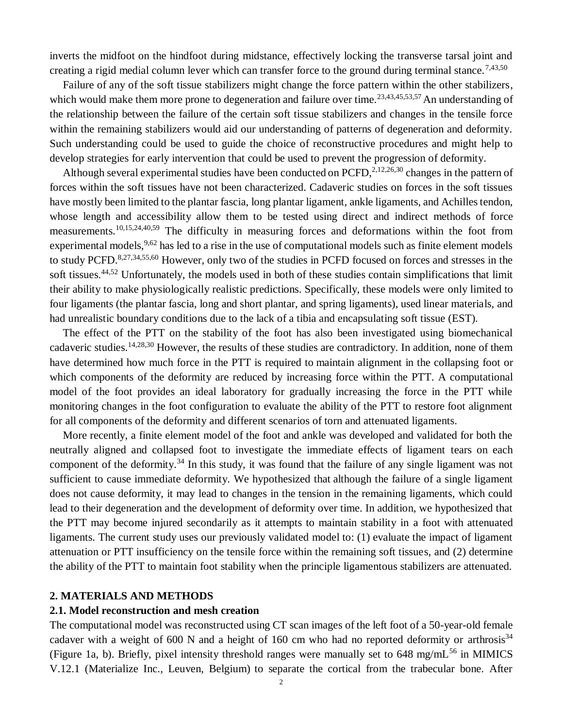inverts the midfoot on the hindfoot during midstance, effectively locking the transverse tarsal joint and creating a rigid medial column lever which can transfer force to the ground during terminal stance.<sup>7,43,50</sup>

Failure of any of the soft tissue stabilizers might change the force pattern within the other stabilizers, which would make them more prone to degeneration and failure over time.<sup>23,43,45,53,57</sup> An understanding of the relationship between the failure of the certain soft tissue stabilizers and changes in the tensile force within the remaining stabilizers would aid our understanding of patterns of degeneration and deformity. Such understanding could be used to guide the choice of reconstructive procedures and might help to develop strategies for early intervention that could be used to prevent the progression of deformity.

Although several experimental studies have been conducted on PCFD, $2,12,26,30$  changes in the pattern of forces within the soft tissues have not been characterized. Cadaveric studies on forces in the soft tissues have mostly been limited to the plantar fascia, long plantar ligament, ankle ligaments, and Achilles tendon, whose length and accessibility allow them to be tested using direct and indirect methods of force measurements.10,15,24,40,59 The difficulty in measuring forces and deformations within the foot from experimental models, 9,62 has led to a rise in the use of computational models such as finite element models to study PCFD.<sup>8,27,34,55,60</sup> However, only two of the studies in PCFD focused on forces and stresses in the soft tissues.44,52 Unfortunately, the models used in both of these studies contain simplifications that limit their ability to make physiologically realistic predictions. Specifically, these models were only limited to four ligaments (the plantar fascia, long and short plantar, and spring ligaments), used linear materials, and had unrealistic boundary conditions due to the lack of a tibia and encapsulating soft tissue (EST).

The effect of the PTT on the stability of the foot has also been investigated using biomechanical cadaveric studies.14,28,30 However, the results of these studies are contradictory. In addition, none of them have determined how much force in the PTT is required to maintain alignment in the collapsing foot or which components of the deformity are reduced by increasing force within the PTT. A computational model of the foot provides an ideal laboratory for gradually increasing the force in the PTT while monitoring changes in the foot configuration to evaluate the ability of the PTT to restore foot alignment for all components of the deformity and different scenarios of torn and attenuated ligaments.

More recently, a finite element model of the foot and ankle was developed and validated for both the neutrally aligned and collapsed foot to investigate the immediate effects of ligament tears on each component of the deformity.<sup>34</sup> In this study, it was found that the failure of any single ligament was not sufficient to cause immediate deformity. We hypothesized that although the failure of a single ligament does not cause deformity, it may lead to changes in the tension in the remaining ligaments, which could lead to their degeneration and the development of deformity over time. In addition, we hypothesized that the PTT may become injured secondarily as it attempts to maintain stability in a foot with attenuated ligaments. The current study uses our previously validated model to: (1) evaluate the impact of ligament attenuation or PTT insufficiency on the tensile force within the remaining soft tissues, and (2) determine the ability of the PTT to maintain foot stability when the principle ligamentous stabilizers are attenuated.

#### **2. MATERIALS AND METHODS**

#### **2.1. Model reconstruction and mesh creation**

The computational model was reconstructed using CT scan images of the left foot of a 50-year-old female cadaver with a weight of 600 N and a height of 160 cm who had no reported deformity or arthrosis<sup>34</sup> (Figure 1a, b). Briefly, pixel intensity threshold ranges were manually set to  $648 \text{ mg/mL}^{56}$  in MIMICS V.12.1 (Materialize Inc., Leuven, Belgium) to separate the cortical from the trabecular bone. After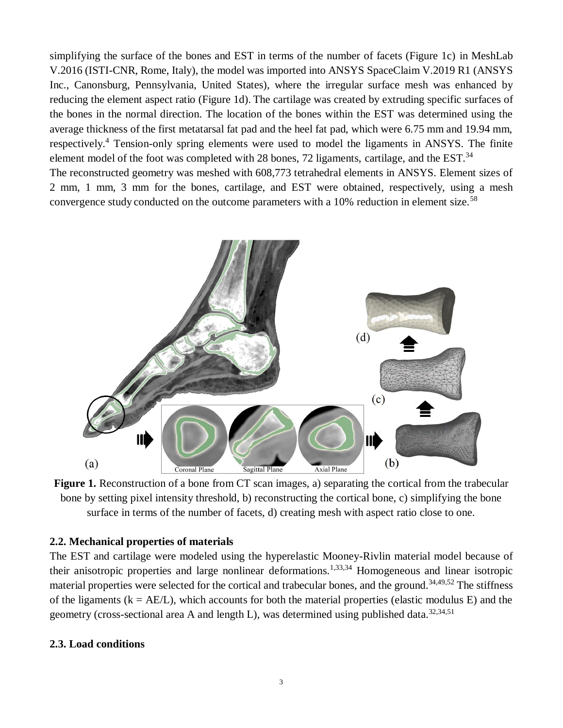simplifying the surface of the bones and EST in terms of the number of facets (Figure 1c) in MeshLab V.2016 (ISTI-CNR, Rome, Italy), the model was imported into ANSYS SpaceClaim V.2019 R1 (ANSYS Inc., Canonsburg, Pennsylvania, United States), where the irregular surface mesh was enhanced by reducing the element aspect ratio (Figure 1d). The cartilage was created by extruding specific surfaces of the bones in the normal direction. The location of the bones within the EST was determined using the average thickness of the first metatarsal fat pad and the heel fat pad, which were 6.75 mm and 19.94 mm, respectively.<sup>4</sup> Tension-only spring elements were used to model the ligaments in ANSYS. The finite element model of the foot was completed with 28 bones, 72 ligaments, cartilage, and the EST.<sup>34</sup> The reconstructed geometry was meshed with 608,773 tetrahedral elements in ANSYS. Element sizes of 2 mm, 1 mm, 3 mm for the bones, cartilage, and EST were obtained, respectively, using a mesh convergence study conducted on the outcome parameters with a 10% reduction in element size.<sup>58</sup>



**Figure 1.** Reconstruction of a bone from CT scan images, a) separating the cortical from the trabecular bone by setting pixel intensity threshold, b) reconstructing the cortical bone, c) simplifying the bone surface in terms of the number of facets, d) creating mesh with aspect ratio close to one.

## **2.2. Mechanical properties of materials**

The EST and cartilage were modeled using the hyperelastic Mooney-Rivlin material model because of their anisotropic properties and large nonlinear deformations.1,33,34 Homogeneous and linear isotropic material properties were selected for the cortical and trabecular bones, and the ground.<sup>34,49,52</sup> The stiffness of the ligaments ( $k = AE/L$ ), which accounts for both the material properties (elastic modulus E) and the geometry (cross-sectional area A and length L), was determined using published data.<sup>32,34,51</sup>

### **2.3. Load conditions**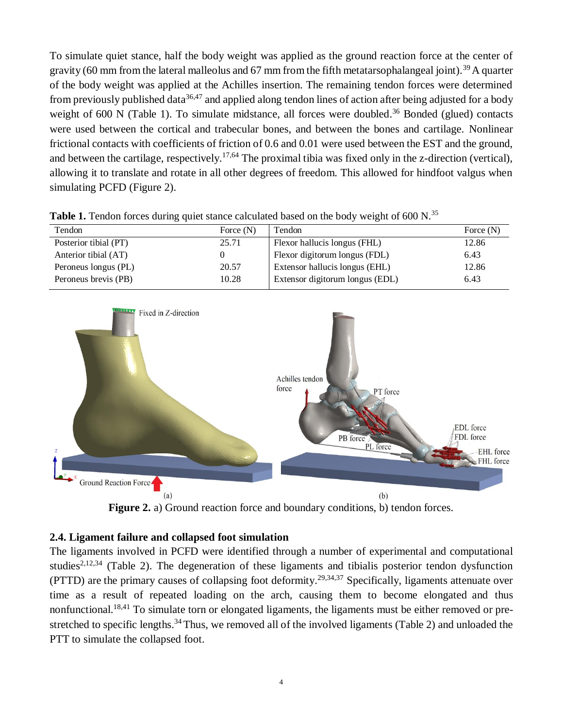To simulate quiet stance, half the body weight was applied as the ground reaction force at the center of gravity (60 mm from the lateral malleolus and 67 mm from the fifth metatarsophalangeal joint).<sup>39</sup> A quarter of the body weight was applied at the Achilles insertion. The remaining tendon forces were determined from previously published data<sup>36,47</sup> and applied along tendon lines of action after being adjusted for a body weight of 600 N (Table 1). To simulate midstance, all forces were doubled.<sup>36</sup> Bonded (glued) contacts were used between the cortical and trabecular bones, and between the bones and cartilage. Nonlinear frictional contacts with coefficients of friction of 0.6 and 0.01 were used between the EST and the ground, and between the cartilage, respectively.<sup>17,64</sup> The proximal tibia was fixed only in the z-direction (vertical), allowing it to translate and rotate in all other degrees of freedom. This allowed for hindfoot valgus when simulating PCFD (Figure 2).

| Tendon                | Force $(N)$ | Tendon                          | Force $(N)$ |
|-----------------------|-------------|---------------------------------|-------------|
| Posterior tibial (PT) | 25.71       | Flexor hallucis longus (FHL)    | 12.86       |
| Anterior tibial (AT)  |             | Flexor digitorum longus (FDL)   | 6.43        |
| Peroneus longus (PL)  | 20.57       | Extensor hallucis longus (EHL)  | 12.86       |
| Peroneus brevis (PB)  | 10.28       | Extensor digitorum longus (EDL) | 6.43        |

**Table 1.** Tendon forces during quiet stance calculated based on the body weight of 600 N.<sup>35</sup>



**Figure 2.** a) Ground reaction force and boundary conditions, b) tendon forces.

## **2.4. Ligament failure and collapsed foot simulation**

The ligaments involved in PCFD were identified through a number of experimental and computational studies<sup>2,12,34</sup> (Table 2). The degeneration of these ligaments and tibialis posterior tendon dysfunction (PTTD) are the primary causes of collapsing foot deformity. 29,34,37 Specifically, ligaments attenuate over time as a result of repeated loading on the arch, causing them to become elongated and thus nonfunctional.<sup>18,41</sup> To simulate torn or elongated ligaments, the ligaments must be either removed or prestretched to specific lengths.<sup>34</sup> Thus, we removed all of the involved ligaments (Table 2) and unloaded the PTT to simulate the collapsed foot.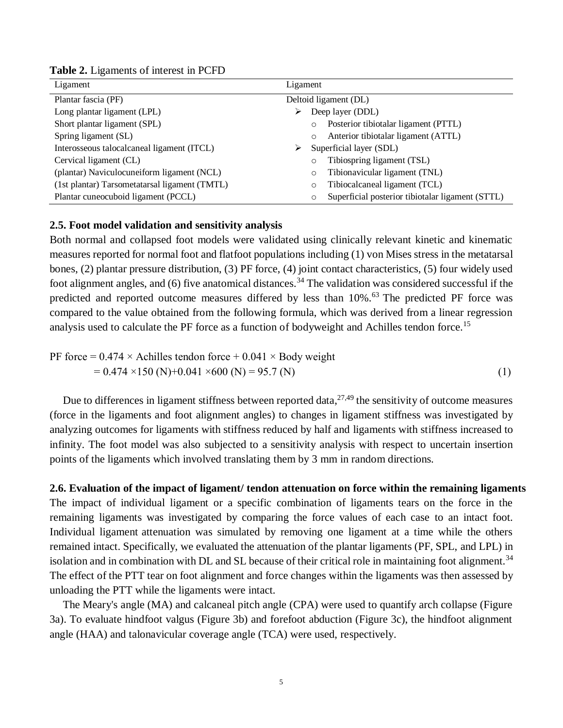| Ligament                                      | Ligament                                                    |
|-----------------------------------------------|-------------------------------------------------------------|
| Plantar fascia (PF)                           | Deltoid ligament (DL)                                       |
| Long plantar ligament (LPL)                   | Deep layer (DDL)<br>➤                                       |
| Short plantar ligament (SPL)                  | Posterior tibiotalar ligament (PTTL)<br>$\circ$             |
| Spring ligament (SL)                          | Anterior tibiotalar ligament (ATTL)<br>$\circ$              |
| Interosseous talocalcaneal ligament (ITCL)    | Superficial layer (SDL)<br>➤                                |
| Cervical ligament (CL)                        | Tibiospring ligament (TSL)<br>$\circ$                       |
| (plantar) Naviculocuneiform ligament (NCL)    | Tibionavicular ligament (TNL)<br>$\circ$                    |
| (1st plantar) Tarsometatarsal ligament (TMTL) | Tibiocalcaneal ligament (TCL)<br>$\circ$                    |
| Plantar cuneocuboid ligament (PCCL)           | Superficial posterior tibiotalar ligament (STTL)<br>$\circ$ |

**Table 2.** Ligaments of interest in PCFD

## **2.5. Foot model validation and sensitivity analysis**

Both normal and collapsed foot models were validated using clinically relevant kinetic and kinematic measures reported for normal foot and flatfoot populations including (1) von Mises stress in the metatarsal bones, (2) plantar pressure distribution, (3) PF force, (4) joint contact characteristics, (5) four widely used foot alignment angles, and (6) five anatomical distances.<sup>34</sup> The validation was considered successful if the predicted and reported outcome measures differed by less than 10%.<sup>63</sup> The predicted PF force was compared to the value obtained from the following formula, which was derived from a linear regression analysis used to calculate the PF force as a function of bodyweight and Achilles tendon force.<sup>15</sup>

PF force = 
$$
0.474 \times
$$
 Achilles tendon force +  $0.041 \times$  Body weight  
=  $0.474 \times 150$  (N)+ $0.041 \times 600$  (N) = 95.7 (N) (1)

Due to differences in ligament stiffness between reported data, $27,49$  the sensitivity of outcome measures (force in the ligaments and foot alignment angles) to changes in ligament stiffness was investigated by analyzing outcomes for ligaments with stiffness reduced by half and ligaments with stiffness increased to infinity. The foot model was also subjected to a sensitivity analysis with respect to uncertain insertion points of the ligaments which involved translating them by 3 mm in random directions.

# **2.6. Evaluation of the impact of ligament/ tendon attenuation on force within the remaining ligaments**

The impact of individual ligament or a specific combination of ligaments tears on the force in the remaining ligaments was investigated by comparing the force values of each case to an intact foot. Individual ligament attenuation was simulated by removing one ligament at a time while the others remained intact. Specifically, we evaluated the attenuation of the plantar ligaments (PF, SPL, and LPL) in isolation and in combination with DL and SL because of their critical role in maintaining foot alignment.<sup>34</sup> The effect of the PTT tear on foot alignment and force changes within the ligaments was then assessed by unloading the PTT while the ligaments were intact.

The Meary's angle (MA) and calcaneal pitch angle (CPA) were used to quantify arch collapse (Figure 3a). To evaluate hindfoot valgus (Figure 3b) and forefoot abduction (Figure 3c), the hindfoot alignment angle (HAA) and talonavicular coverage angle (TCA) were used, respectively.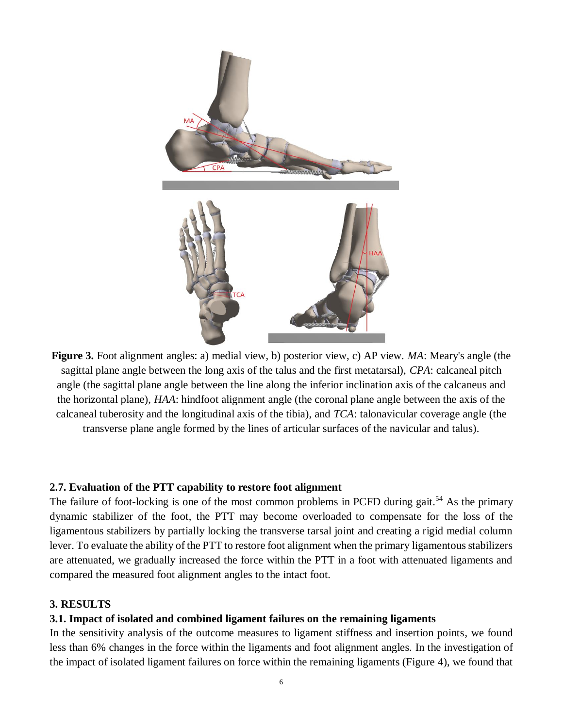

**Figure 3.** Foot alignment angles: a) medial view, b) posterior view, c) AP view. *MA*: Meary's angle (the sagittal plane angle between the long axis of the talus and the first metatarsal), *CPA*: calcaneal pitch angle (the sagittal plane angle between the line along the inferior inclination axis of the calcaneus and the horizontal plane), *HAA*: hindfoot alignment angle (the coronal plane angle between the axis of the calcaneal tuberosity and the longitudinal axis of the tibia), and *TCA*: talonavicular coverage angle (the transverse plane angle formed by the lines of articular surfaces of the navicular and talus).

## **2.7. Evaluation of the PTT capability to restore foot alignment**

The failure of foot-locking is one of the most common problems in PCFD during gait.<sup>54</sup> As the primary dynamic stabilizer of the foot, the PTT may become overloaded to compensate for the loss of the ligamentous stabilizers by partially locking the transverse tarsal joint and creating a rigid medial column lever. To evaluate the ability of the PTT to restore foot alignment when the primary ligamentous stabilizers are attenuated, we gradually increased the force within the PTT in a foot with attenuated ligaments and compared the measured foot alignment angles to the intact foot.

### **3. RESULTS**

### **3.1. Impact of isolated and combined ligament failures on the remaining ligaments**

In the sensitivity analysis of the outcome measures to ligament stiffness and insertion points, we found less than 6% changes in the force within the ligaments and foot alignment angles. In the investigation of the impact of isolated ligament failures on force within the remaining ligaments (Figure 4), we found that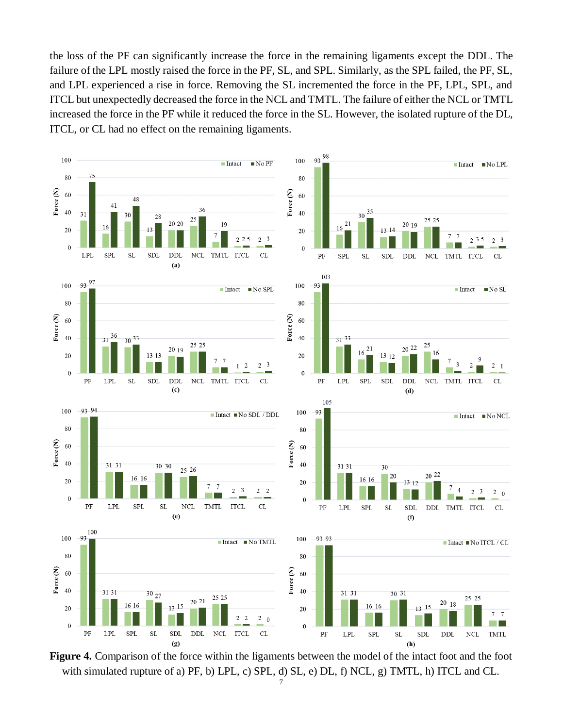the loss of the PF can significantly increase the force in the remaining ligaments except the DDL. The failure of the LPL mostly raised the force in the PF, SL, and SPL. Similarly, as the SPL failed, the PF, SL, and LPL experienced a rise in force. Removing the SL incremented the force in the PF, LPL, SPL, and ITCL but unexpectedly decreased the force in the NCL and TMTL. The failure of either the NCL or TMTL increased the force in the PF while it reduced the force in the SL. However, the isolated rupture of the DL, ITCL, or CL had no effect on the remaining ligaments.



**Figure 4.** Comparison of the force within the ligaments between the model of the intact foot and the foot with simulated rupture of a) PF, b) LPL, c) SPL, d) SL, e) DL, f) NCL, g) TMTL, h) ITCL and CL.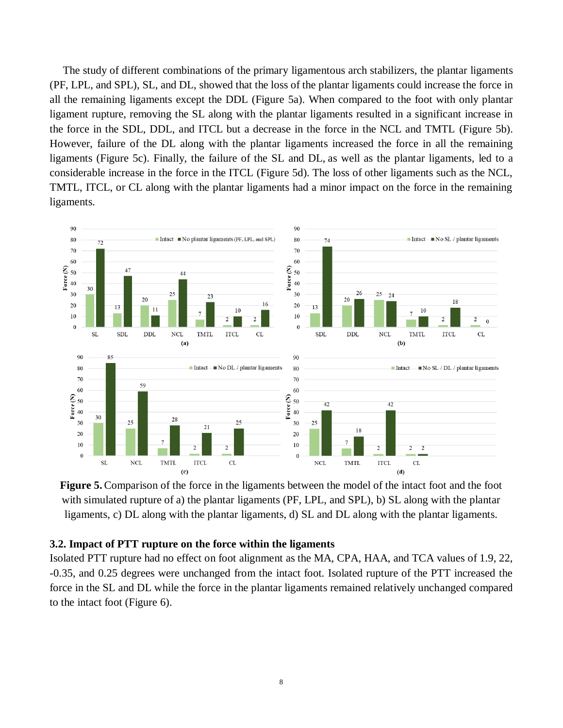The study of different combinations of the primary ligamentous arch stabilizers, the plantar ligaments (PF, LPL, and SPL), SL, and DL, showed that the loss of the plantar ligaments could increase the force in all the remaining ligaments except the DDL (Figure 5a). When compared to the foot with only plantar ligament rupture, removing the SL along with the plantar ligaments resulted in a significant increase in the force in the SDL, DDL, and ITCL but a decrease in the force in the NCL and TMTL (Figure 5b). However, failure of the DL along with the plantar ligaments increased the force in all the remaining ligaments (Figure 5c). Finally, the failure of the SL and DL, as well as the plantar ligaments, led to a considerable increase in the force in the ITCL (Figure 5d). The loss of other ligaments such as the NCL, TMTL, ITCL, or CL along with the plantar ligaments had a minor impact on the force in the remaining ligaments.

![](_page_7_Figure_1.jpeg)

**Figure 5.** Comparison of the force in the ligaments between the model of the intact foot and the foot with simulated rupture of a) the plantar ligaments (PF, LPL, and SPL), b) SL along with the plantar ligaments, c) DL along with the plantar ligaments, d) SL and DL along with the plantar ligaments.

#### **3.2. Impact of PTT rupture on the force within the ligaments**

Isolated PTT rupture had no effect on foot alignment as the MA, CPA, HAA, and TCA values of 1.9, 22, -0.35, and 0.25 degrees were unchanged from the intact foot. Isolated rupture of the PTT increased the force in the SL and DL while the force in the plantar ligaments remained relatively unchanged compared to the intact foot (Figure 6).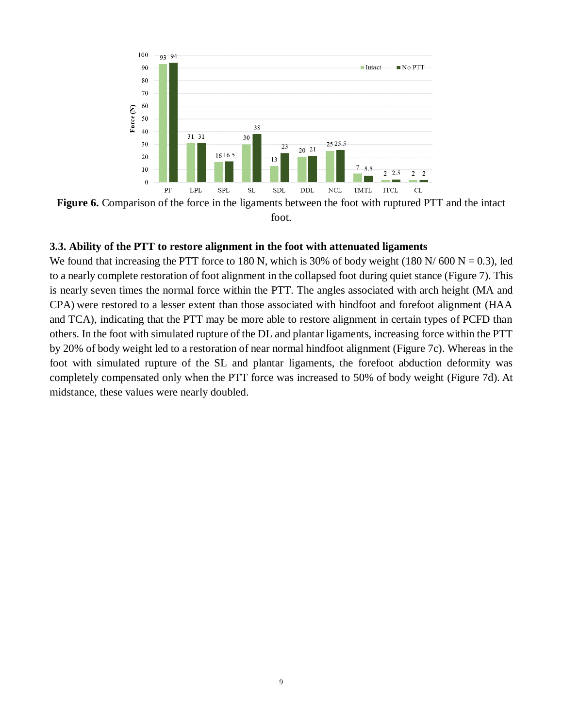![](_page_8_Figure_0.jpeg)

**Figure 6.** Comparison of the force in the ligaments between the foot with ruptured PTT and the intact foot.

## **3.3. Ability of the PTT to restore alignment in the foot with attenuated ligaments**

We found that increasing the PTT force to 180 N, which is 30% of body weight (180 N/ 600 N = 0.3), led to a nearly complete restoration of foot alignment in the collapsed foot during quiet stance (Figure 7). This is nearly seven times the normal force within the PTT. The angles associated with arch height (MA and CPA) were restored to a lesser extent than those associated with hindfoot and forefoot alignment (HAA and TCA), indicating that the PTT may be more able to restore alignment in certain types of PCFD than others. In the foot with simulated rupture of the DL and plantar ligaments, increasing force within the PTT by 20% of body weight led to a restoration of near normal hindfoot alignment (Figure 7c). Whereas in the foot with simulated rupture of the SL and plantar ligaments, the forefoot abduction deformity was completely compensated only when the PTT force was increased to 50% of body weight (Figure 7d). At midstance, these values were nearly doubled.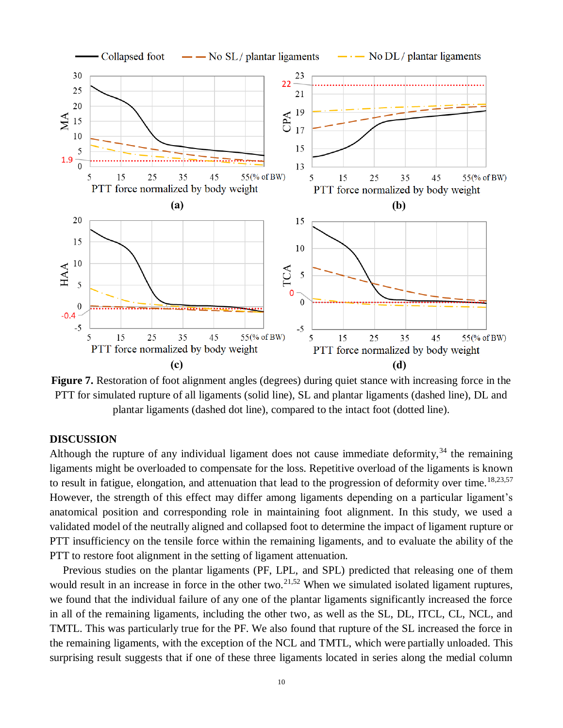![](_page_9_Figure_0.jpeg)

**Figure 7.** Restoration of foot alignment angles (degrees) during quiet stance with increasing force in the PTT for simulated rupture of all ligaments (solid line), SL and plantar ligaments (dashed line), DL and plantar ligaments (dashed dot line), compared to the intact foot (dotted line).

### **DISCUSSION**

Although the rupture of any individual ligament does not cause immediate deformity,  $34$  the remaining ligaments might be overloaded to compensate for the loss. Repetitive overload of the ligaments is known to result in fatigue, elongation, and attenuation that lead to the progression of deformity over time.<sup>18,23,57</sup> However, the strength of this effect may differ among ligaments depending on a particular ligament's anatomical position and corresponding role in maintaining foot alignment. In this study, we used a validated model of the neutrally aligned and collapsed foot to determine the impact of ligament rupture or PTT insufficiency on the tensile force within the remaining ligaments, and to evaluate the ability of the PTT to restore foot alignment in the setting of ligament attenuation.

Previous studies on the plantar ligaments (PF, LPL, and SPL) predicted that releasing one of them would result in an increase in force in the other two.<sup>21,52</sup> When we simulated isolated ligament ruptures, we found that the individual failure of any one of the plantar ligaments significantly increased the force in all of the remaining ligaments, including the other two, as well as the SL, DL, ITCL, CL, NCL, and TMTL. This was particularly true for the PF. We also found that rupture of the SL increased the force in the remaining ligaments, with the exception of the NCL and TMTL, which were partially unloaded. This surprising result suggests that if one of these three ligaments located in series along the medial column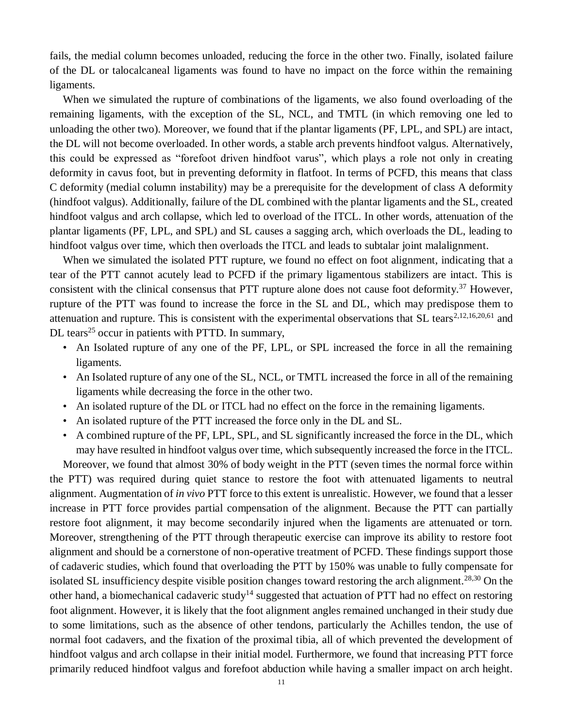fails, the medial column becomes unloaded, reducing the force in the other two. Finally, isolated failure of the DL or talocalcaneal ligaments was found to have no impact on the force within the remaining ligaments.

When we simulated the rupture of combinations of the ligaments, we also found overloading of the remaining ligaments, with the exception of the SL, NCL, and TMTL (in which removing one led to unloading the other two). Moreover, we found that if the plantar ligaments (PF, LPL, and SPL) are intact, the DL will not become overloaded. In other words, a stable arch prevents hindfoot valgus. Alternatively, this could be expressed as "forefoot driven hindfoot varus", which plays a role not only in creating deformity in cavus foot, but in preventing deformity in flatfoot. In terms of PCFD, this means that class C deformity (medial column instability) may be a prerequisite for the development of class A deformity (hindfoot valgus). Additionally, failure of the DL combined with the plantar ligaments and the SL, created hindfoot valgus and arch collapse, which led to overload of the ITCL. In other words, attenuation of the plantar ligaments (PF, LPL, and SPL) and SL causes a sagging arch, which overloads the DL, leading to hindfoot valgus over time, which then overloads the ITCL and leads to subtalar joint malalignment.

When we simulated the isolated PTT rupture, we found no effect on foot alignment, indicating that a tear of the PTT cannot acutely lead to PCFD if the primary ligamentous stabilizers are intact. This is consistent with the clinical consensus that PTT rupture alone does not cause foot deformity.<sup>37</sup> However, rupture of the PTT was found to increase the force in the SL and DL, which may predispose them to attenuation and rupture. This is consistent with the experimental observations that SL tears<sup>2,12,16,20,61</sup> and DL tears<sup>25</sup> occur in patients with PTTD. In summary,

- An Isolated rupture of any one of the PF, LPL, or SPL increased the force in all the remaining ligaments.
- An Isolated rupture of any one of the SL, NCL, or TMTL increased the force in all of the remaining ligaments while decreasing the force in the other two.
- An isolated rupture of the DL or ITCL had no effect on the force in the remaining ligaments.
- An isolated rupture of the PTT increased the force only in the DL and SL.
- A combined rupture of the PF, LPL, SPL, and SL significantly increased the force in the DL, which may have resulted in hindfoot valgus over time, which subsequently increased the force in the ITCL.

Moreover, we found that almost 30% of body weight in the PTT (seven times the normal force within the PTT) was required during quiet stance to restore the foot with attenuated ligaments to neutral alignment. Augmentation of *in vivo* PTT force to this extent is unrealistic. However, we found that a lesser increase in PTT force provides partial compensation of the alignment. Because the PTT can partially restore foot alignment, it may become secondarily injured when the ligaments are attenuated or torn. Moreover, strengthening of the PTT through therapeutic exercise can improve its ability to restore foot alignment and should be a cornerstone of non-operative treatment of PCFD. These findings support those of cadaveric studies, which found that overloading the PTT by 150% was unable to fully compensate for isolated SL insufficiency despite visible position changes toward restoring the arch alignment.<sup>28,30</sup> On the other hand, a biomechanical cadaveric study<sup>14</sup> suggested that actuation of PTT had no effect on restoring foot alignment. However, it is likely that the foot alignment angles remained unchanged in their study due to some limitations, such as the absence of other tendons, particularly the Achilles tendon, the use of normal foot cadavers, and the fixation of the proximal tibia, all of which prevented the development of hindfoot valgus and arch collapse in their initial model. Furthermore, we found that increasing PTT force primarily reduced hindfoot valgus and forefoot abduction while having a smaller impact on arch height.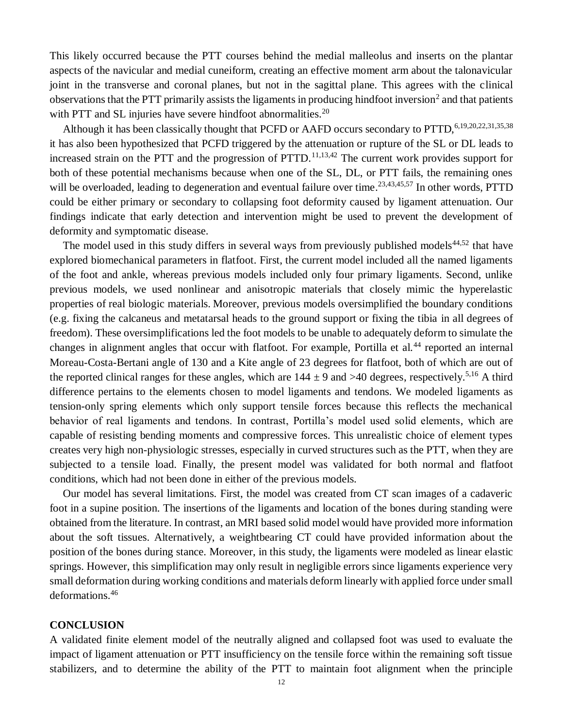This likely occurred because the PTT courses behind the medial malleolus and inserts on the plantar aspects of the navicular and medial cuneiform, creating an effective moment arm about the talonavicular joint in the transverse and coronal planes, but not in the sagittal plane. This agrees with the clinical observations that the PTT primarily assists the ligaments in producing hindfoot inversion<sup>2</sup> and that patients with PTT and SL injuries have severe hindfoot abnormalities.<sup>20</sup>

Although it has been classically thought that PCFD or AAFD occurs secondary to PTTD,<sup>6,19,20,22,31,35,38</sup> it has also been hypothesized that PCFD triggered by the attenuation or rupture of the SL or DL leads to increased strain on the PTT and the progression of PTTD.<sup>11,13,42</sup> The current work provides support for both of these potential mechanisms because when one of the SL, DL, or PTT fails, the remaining ones will be overloaded, leading to degeneration and eventual failure over time.<sup>23,43,45,57</sup> In other words, PTTD could be either primary or secondary to collapsing foot deformity caused by ligament attenuation. Our findings indicate that early detection and intervention might be used to prevent the development of deformity and symptomatic disease.

The model used in this study differs in several ways from previously published models<sup>44,52</sup> that have explored biomechanical parameters in flatfoot. First, the current model included all the named ligaments of the foot and ankle, whereas previous models included only four primary ligaments. Second, unlike previous models, we used nonlinear and anisotropic materials that closely mimic the hyperelastic properties of real biologic materials. Moreover, previous models oversimplified the boundary conditions (e.g. fixing the calcaneus and metatarsal heads to the ground support or fixing the tibia in all degrees of freedom). These oversimplifications led the foot models to be unable to adequately deform to simulate the changes in alignment angles that occur with flatfoot. For example, Portilla et al.<sup>44</sup> reported an internal Moreau-Costa-Bertani angle of 130 and a Kite angle of 23 degrees for flatfoot, both of which are out of the reported clinical ranges for these angles, which are  $144 \pm 9$  and  $>40$  degrees, respectively.<sup>5,16</sup> A third difference pertains to the elements chosen to model ligaments and tendons. We modeled ligaments as tension-only spring elements which only support tensile forces because this reflects the mechanical behavior of real ligaments and tendons. In contrast, Portilla's model used solid elements, which are capable of resisting bending moments and compressive forces. This unrealistic choice of element types creates very high non-physiologic stresses, especially in curved structures such as the PTT, when they are subjected to a tensile load. Finally, the present model was validated for both normal and flatfoot conditions, which had not been done in either of the previous models.

Our model has several limitations. First, the model was created from CT scan images of a cadaveric foot in a supine position. The insertions of the ligaments and location of the bones during standing were obtained from the literature. In contrast, an MRI based solid model would have provided more information about the soft tissues. Alternatively, a weightbearing CT could have provided information about the position of the bones during stance. Moreover, in this study, the ligaments were modeled as linear elastic springs. However, this simplification may only result in negligible errors since ligaments experience very small deformation during working conditions and materials deform linearly with applied force under small deformations.<sup>46</sup>

#### **CONCLUSION**

A validated finite element model of the neutrally aligned and collapsed foot was used to evaluate the impact of ligament attenuation or PTT insufficiency on the tensile force within the remaining soft tissue stabilizers, and to determine the ability of the PTT to maintain foot alignment when the principle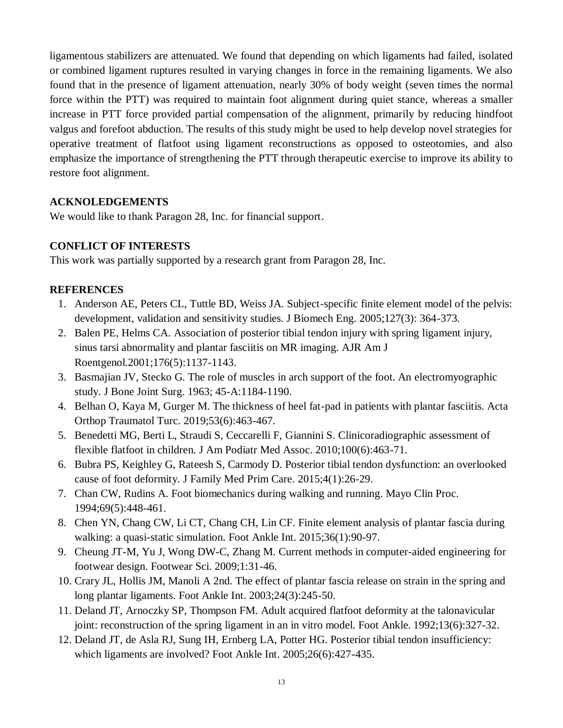ligamentous stabilizers are attenuated. We found that depending on which ligaments had failed, isolated or combined ligament ruptures resulted in varying changes in force in the remaining ligaments. We also found that in the presence of ligament attenuation, nearly 30% of body weight (seven times the normal force within the PTT) was required to maintain foot alignment during quiet stance, whereas a smaller increase in PTT force provided partial compensation of the alignment, primarily by reducing hindfoot valgus and forefoot abduction. The results of this study might be used to help develop novel strategies for operative treatment of flatfoot using ligament reconstructions as opposed to osteotomies, and also emphasize the importance of strengthening the PTT through therapeutic exercise to improve its ability to restore foot alignment.

## **ACKNOLEDGEMENTS**

We would like to thank Paragon 28, Inc. for financial support.

# **CONFLICT OF INTERESTS**

This work was partially supported by a research grant from Paragon 28, Inc.

# **REFERENCES**

- 1. Anderson AE, Peters CL, Tuttle BD, Weiss JA. Subject-specific finite element model of the pelvis: development, validation and sensitivity studies. J Biomech Eng. 2005;127(3): 364-373.
- 2. Balen PE, Helms CA. Association of posterior tibial tendon injury with spring ligament injury, sinus tarsi abnormality and plantar fasciitis on MR imaging. AJR Am J Roentgenol.2001;176(5):1137-1143.
- 3. Basmajian JV, Stecko G. The role of muscles in arch support of the foot. An electromyographic study. J Bone Joint Surg. 1963; 45-A:1184-1190.
- 4. Belhan O, Kaya M, Gurger M. The thickness of heel fat-pad in patients with plantar fasciitis. Acta Orthop Traumatol Turc. 2019;53(6):463-467.
- 5. Benedetti MG, Berti L, Straudi S, Ceccarelli F, Giannini S. Clinicoradiographic assessment of flexible flatfoot in children. J Am Podiatr Med Assoc. 2010;100(6):463-71.
- 6. Bubra PS, Keighley G, Rateesh S, Carmody D. Posterior tibial tendon dysfunction: an overlooked cause of foot deformity. J Family Med Prim Care. 2015;4(1):26-29.
- 7. Chan CW, Rudins A. Foot biomechanics during walking and running. Mayo Clin Proc. 1994;69(5):448-461.
- 8. Chen YN, Chang CW, Li CT, Chang CH, Lin CF. Finite element analysis of plantar fascia during walking: a quasi-static simulation. Foot Ankle Int. 2015;36(1):90-97.
- 9. Cheung JT-M, Yu J, Wong DW-C, Zhang M. Current methods in computer-aided engineering for footwear design. Footwear Sci. 2009;1:31-46.
- 10. Crary JL, Hollis JM, Manoli A 2nd. The effect of plantar fascia release on strain in the spring and long plantar ligaments. Foot Ankle Int. 2003;24(3):245-50.
- 11. Deland JT, Arnoczky SP, Thompson FM. Adult acquired flatfoot deformity at the talonavicular joint: reconstruction of the spring ligament in an in vitro model. Foot Ankle. 1992;13(6):327-32.
- 12. Deland JT, de Asla RJ, Sung IH, Ernberg LA, Potter HG. Posterior tibial tendon insufficiency: which ligaments are involved? Foot Ankle Int. 2005;26(6):427-435.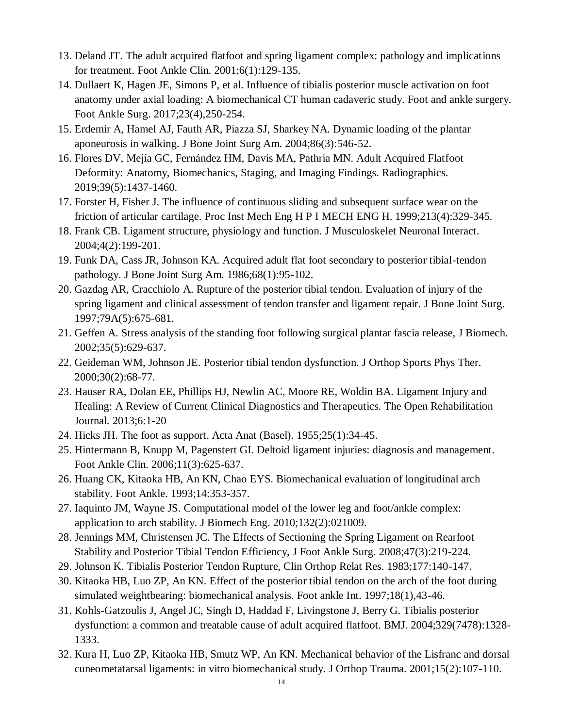- 13. Deland JT. The adult acquired flatfoot and spring ligament complex: pathology and implications for treatment. Foot Ankle Clin. 2001;6(1):129-135.
- 14. Dullaert K, Hagen JE, Simons P, et al. Influence of tibialis posterior muscle activation on foot anatomy under axial loading: A biomechanical CT human cadaveric study. Foot and ankle surgery. Foot Ankle Surg. 2017;23(4),250-254.
- 15. Erdemir A, Hamel AJ, Fauth AR, Piazza SJ, Sharkey NA. Dynamic loading of the plantar aponeurosis in walking. J Bone Joint Surg Am. 2004;86(3):546-52.
- 16. Flores DV, Mejía GC, Fernández HM, Davis MA, Pathria MN. Adult Acquired Flatfoot Deformity: Anatomy, Biomechanics, Staging, and Imaging Findings. Radiographics. 2019;39(5):1437-1460.
- 17. Forster H, Fisher J. The influence of continuous sliding and subsequent surface wear on the friction of articular cartilage. Proc Inst Mech Eng H P I MECH ENG H. 1999;213(4):329-345.
- 18. Frank CB. Ligament structure, physiology and function. J Musculoskelet Neuronal Interact. 2004;4(2):199-201.
- 19. Funk DA, Cass JR, Johnson KA. Acquired adult flat foot secondary to posterior tibial-tendon pathology. J Bone Joint Surg Am. 1986;68(1):95-102.
- 20. Gazdag AR, Cracchiolo A. Rupture of the posterior tibial tendon. Evaluation of injury of the spring ligament and clinical assessment of tendon transfer and ligament repair. J Bone Joint Surg. 1997;79A(5):675-681.
- 21. Geffen A. Stress analysis of the standing foot following surgical plantar fascia release, J Biomech. 2002;35(5):629-637.
- 22. Geideman WM, Johnson JE. Posterior tibial tendon dysfunction. J Orthop Sports Phys Ther. 2000;30(2):68-77.
- 23. Hauser RA, Dolan EE, Phillips HJ, Newlin AC, Moore RE, Woldin BA. Ligament Injury and Healing: A Review of Current Clinical Diagnostics and Therapeutics. The Open Rehabilitation Journal. 2013;6:1-20
- 24. Hicks JH. The foot as support. Acta Anat (Basel). 1955;25(1):34-45.
- 25. Hintermann B, Knupp M, Pagenstert GI. Deltoid ligament injuries: diagnosis and management. Foot Ankle Clin. 2006;11(3):625-637.
- 26. Huang CK, Kitaoka HB, An KN, Chao EYS. Biomechanical evaluation of longitudinal arch stability. Foot Ankle. 1993;14:353-357.
- 27. Iaquinto JM, Wayne JS. Computational model of the lower leg and foot/ankle complex: application to arch stability. J Biomech Eng. 2010;132(2):021009.
- 28. Jennings MM, Christensen JC. The Effects of Sectioning the Spring Ligament on Rearfoot Stability and Posterior Tibial Tendon Efficiency, J Foot Ankle Surg. 2008;47(3):219-224.
- 29. Johnson K. Tibialis Posterior Tendon Rupture, Clin Orthop Relat Res. 1983;177:140-147.
- 30. Kitaoka HB, Luo ZP, An KN. Effect of the posterior tibial tendon on the arch of the foot during simulated weightbearing: biomechanical analysis. Foot ankle Int. 1997;18(1),43-46.
- 31. Kohls-Gatzoulis J, Angel JC, Singh D, Haddad F, Livingstone J, Berry G. Tibialis posterior dysfunction: a common and treatable cause of adult acquired flatfoot. BMJ. 2004;329(7478):1328- 1333.
- 32. Kura H, Luo ZP, Kitaoka HB, Smutz WP, An KN. Mechanical behavior of the Lisfranc and dorsal cuneometatarsal ligaments: in vitro biomechanical study. J Orthop Trauma. 2001;15(2):107-110.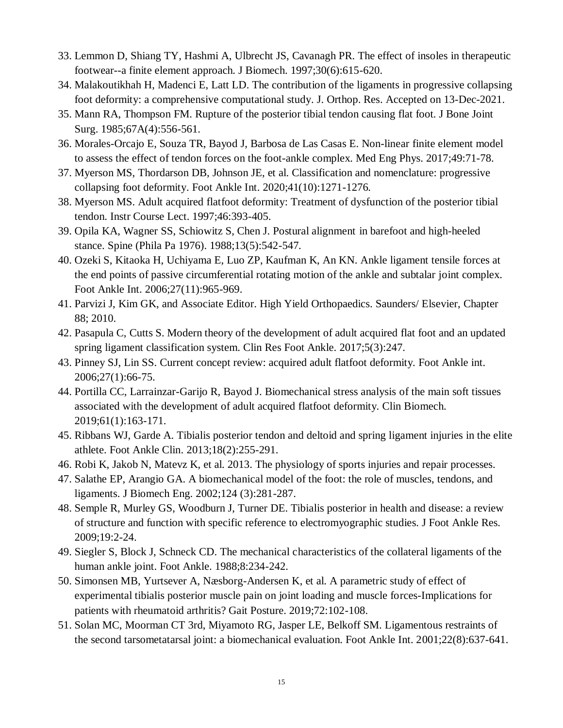- 33. Lemmon D, Shiang TY, Hashmi A, Ulbrecht JS, Cavanagh PR. The effect of insoles in therapeutic footwear--a finite element approach. J Biomech. 1997;30(6):615-620.
- 34. Malakoutikhah H, Madenci E, Latt LD. The contribution of the ligaments in progressive collapsing foot deformity: a comprehensive computational study. J. Orthop. Res. Accepted on 13-Dec-2021.
- 35. Mann RA, Thompson FM. Rupture of the posterior tibial tendon causing flat foot. J Bone Joint Surg. 1985;67A(4):556-561.
- 36. Morales-Orcajo E, Souza TR, Bayod J, Barbosa de Las Casas E. Non-linear finite element model to assess the effect of tendon forces on the foot-ankle complex. Med Eng Phys. 2017;49:71-78.
- 37. Myerson MS, Thordarson DB, Johnson JE, et al. Classification and nomenclature: progressive collapsing foot deformity. Foot Ankle Int. 2020;41(10):1271-1276.
- 38. Myerson MS. Adult acquired flatfoot deformity: Treatment of dysfunction of the posterior tibial tendon. Instr Course Lect. 1997;46:393-405.
- 39. Opila KA, Wagner SS, Schiowitz S, Chen J. Postural alignment in barefoot and high-heeled stance. Spine (Phila Pa 1976). 1988;13(5):542-547.
- 40. Ozeki S, Kitaoka H, Uchiyama E, Luo ZP, Kaufman K, An KN. Ankle ligament tensile forces at the end points of passive circumferential rotating motion of the ankle and subtalar joint complex. Foot Ankle Int. 2006;27(11):965-969.
- 41. Parvizi J, Kim GK, and Associate Editor. High Yield Orthopaedics. Saunders/ Elsevier, Chapter 88; 2010.
- 42. Pasapula C, Cutts S. Modern theory of the development of adult acquired flat foot and an updated spring ligament classification system. Clin Res Foot Ankle. 2017;5(3):247.
- 43. Pinney SJ, Lin SS. Current concept review: acquired adult flatfoot deformity. Foot Ankle int. 2006;27(1):66-75.
- 44. Portilla CC, Larrainzar-Garijo R, Bayod J. Biomechanical stress analysis of the main soft tissues associated with the development of adult acquired flatfoot deformity. Clin Biomech. 2019;61(1):163-171.
- 45. Ribbans WJ, Garde A. Tibialis posterior tendon and deltoid and spring ligament injuries in the elite athlete. Foot Ankle Clin. 2013;18(2):255-291.
- 46. Robi K, Jakob N, Matevz K, et al. 2013. The physiology of sports injuries and repair processes.
- 47. Salathe EP, Arangio GA. A biomechanical model of the foot: the role of muscles, tendons, and ligaments. J Biomech Eng. 2002;124 (3):281-287.
- 48. Semple R, Murley GS, Woodburn J, Turner DE. Tibialis posterior in health and disease: a review of structure and function with specific reference to electromyographic studies. J Foot Ankle Res. 2009;19:2-24.
- 49. Siegler S, Block J, Schneck CD. The mechanical characteristics of the collateral ligaments of the human ankle joint. Foot Ankle. 1988;8:234-242.
- 50. Simonsen MB, Yurtsever A, Næsborg-Andersen K, et al. A parametric study of effect of experimental tibialis posterior muscle pain on joint loading and muscle forces-Implications for patients with rheumatoid arthritis? Gait Posture. 2019;72:102-108.
- 51. Solan MC, Moorman CT 3rd, Miyamoto RG, Jasper LE, Belkoff SM. Ligamentous restraints of the second tarsometatarsal joint: a biomechanical evaluation. Foot Ankle Int. 2001;22(8):637-641.